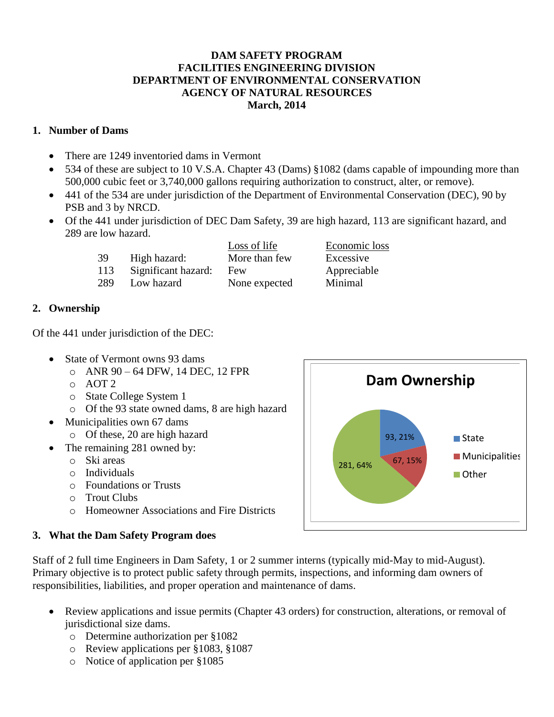#### **DAM SAFETY PROGRAM FACILITIES ENGINEERING DIVISION DEPARTMENT OF ENVIRONMENTAL CONSERVATION AGENCY OF NATURAL RESOURCES March, 2014**

### **1. Number of Dams**

- There are 1249 inventoried dams in Vermont
- 534 of these are subject to 10 V.S.A. Chapter 43 (Dams) §1082 (dams capable of impounding more than 500,000 cubic feet or 3,740,000 gallons requiring authorization to construct, alter, or remove).
- 441 of the 534 are under jurisdiction of the Department of Environmental Conservation (DEC), 90 by PSB and 3 by NRCD.
- Of the 441 under jurisdiction of DEC Dam Safety, 39 are high hazard, 113 are significant hazard, and 289 are low hazard.

|     |                     | Loss of life  | Economic loss |
|-----|---------------------|---------------|---------------|
| 39  | High hazard:        | More than few | Excessive     |
| 113 | Significant hazard: | Few           | Appreciable   |
| 289 | Low hazard          | None expected | Minimal       |

## **2. Ownership**

Of the 441 under jurisdiction of the DEC:

- State of Vermont owns 93 dams
	- o ANR 90 64 DFW, 14 DEC, 12 FPR
	- o AOT 2
	- o State College System 1
	- o Of the 93 state owned dams, 8 are high hazard
- Municipalities own 67 dams
	- o Of these, 20 are high hazard
- The remaining 281 owned by:
	- o Ski areas
	- o Individuals
	- o Foundations or Trusts
	- o Trout Clubs
	- o Homeowner Associations and Fire Districts

# **3. What the Dam Safety Program does**

Staff of 2 full time Engineers in Dam Safety, 1 or 2 summer interns (typically mid-May to mid-August). Primary objective is to protect public safety through permits, inspections, and informing dam owners of responsibilities, liabilities, and proper operation and maintenance of dams.

- Review applications and issue permits (Chapter 43 orders) for construction, alterations, or removal of jurisdictional size dams.
	- o Determine authorization per §1082
	- o Review applications per §1083, §1087
	- o Notice of application per §1085